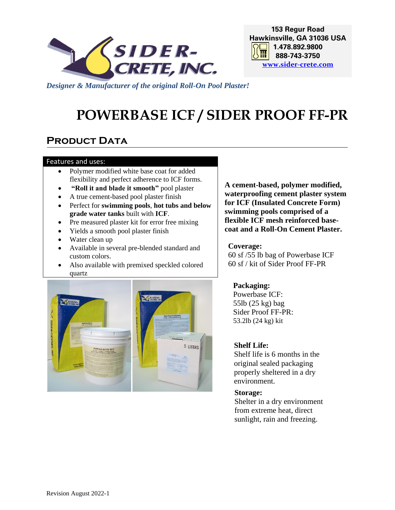

**153 Regur Road Hawkinsville, GA 31036 USA 1.478.892.9800 888-743-3750 [www.sider-crete.com](http://www.sider-oxydro.com/)**

*Designer & Manufacturer of the original Roll-On Pool Plaster!*

# **POWERBASE ICF / SIDER PROOF FF-PR**

## **PRODUCT DATA**

#### Features and uses:

- Polymer modified white base coat for added flexibility and perfect adherence to ICF forms.
- **"Roll it and blade it smooth"** pool plaster
- A true cement-based pool plaster finish
- Perfect for **swimming pools**, **hot tubs and below grade water tanks** built with **ICF**.
- Pre measured plaster kit for error free mixing
- Yields a smooth pool plaster finish
- Water clean up
- Available in several pre-blended standard and custom colors.
- Also available with premixed speckled colored quartz



**A cement-based, polymer modified, waterproofing cement plaster system for ICF (Insulated Concrete Form) swimming pools comprised of a flexible ICF mesh reinforced basecoat and a Roll-On Cement Plaster.**

#### **Coverage:**

60 sf /55 lb bag of Powerbase ICF 60 sf / kit of Sider Proof FF-PR

## **Packaging:**

Powerbase ICF: 55lb (25 kg) bag Sider Proof FF-PR: 53.2lb (24 kg) kit

## **Shelf Life:**

Shelf life is 6 months in the original sealed packaging properly sheltered in a dry environment.

#### **Storage:**

Shelter in a dry environment from extreme heat, direct sunlight, rain and freezing.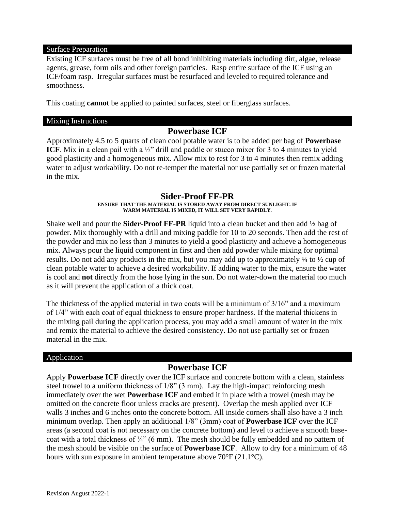#### Surface Preparation

Existing ICF surfaces must be free of all bond inhibiting materials including dirt, algae, release agents, grease, form oils and other foreign particles. Rasp entire surface of the ICF using an ICF/foam rasp. Irregular surfaces must be resurfaced and leveled to required tolerance and smoothness.

This coating **cannot** be applied to painted surfaces, steel or fiberglass surfaces.

#### Mixing Instructions

## **Powerbase ICF**

Approximately 4.5 to 5 quarts of clean cool potable water is to be added per bag of **Powerbase ICF**. Mix in a clean pail with a 1/2" drill and paddle or stucco mixer for 3 to 4 minutes to yield good plasticity and a homogeneous mix. Allow mix to rest for 3 to 4 minutes then remix adding water to adjust workability. Do not re-temper the material nor use partially set or frozen material in the mix.

## **Sider-Proof FF-PR**

#### **ENSURE THAT THE MATERIAL IS STORED AWAY FROM DIRECT SUNLIGHT. IF WARM MATERIAL IS MIXED, IT WILL SET VERY RAPIDLY.**

Shake well and pour the **Sider-Proof FF-PR** liquid into a clean bucket and then add ½ bag of powder. Mix thoroughly with a drill and mixing paddle for 10 to 20 seconds. Then add the rest of the powder and mix no less than 3 minutes to yield a good plasticity and achieve a homogeneous mix. Always pour the liquid component in first and then add powder while mixing for optimal results. Do not add any products in the mix, but you may add up to approximately ¼ to ½ cup of clean potable water to achieve a desired workability. If adding water to the mix, ensure the water is cool and **not** directly from the hose lying in the sun. Do not water-down the material too much as it will prevent the application of a thick coat.

The thickness of the applied material in two coats will be a minimum of 3/16" and a maximum of 1/4" with each coat of equal thickness to ensure proper hardness. If the material thickens in the mixing pail during the application process, you may add a small amount of water in the mix and remix the material to achieve the desired consistency. Do not use partially set or frozen material in the mix.

## Application

## **Powerbase ICF**

Apply **Powerbase ICF** directly over the ICF surface and concrete bottom with a clean, stainless steel trowel to a uniform thickness of 1/8" (3 mm). Lay the high-impact reinforcing mesh immediately over the wet **Powerbase ICF** and embed it in place with a trowel (mesh may be omitted on the concrete floor unless cracks are present). Overlap the mesh applied over ICF walls 3 inches and 6 inches onto the concrete bottom. All inside corners shall also have a 3 inch minimum overlap. Then apply an additional 1/8" (3mm) coat of **Powerbase ICF** over the ICF areas (a second coat is not necessary on the concrete bottom) and level to achieve a smooth basecoat with a total thickness of  $\frac{1}{4}$ " (6 mm). The mesh should be fully embedded and no pattern of the mesh should be visible on the surface of **Powerbase ICF**. Allow to dry for a minimum of 48 hours with sun exposure in ambient temperature above 70°F (21.1°C).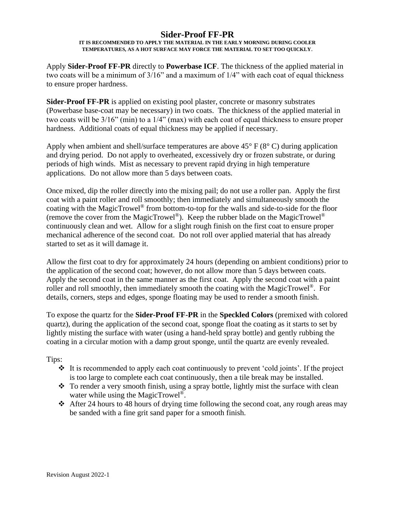## **Sider-Proof FF-PR**

#### **IT IS RECOMMENDED TO APPLY THE MATERIAL IN THE EARLY MORNING DURING COOLER TEMPERATURES, AS A HOT SURFACE MAY FORCE THE MATERIAL TO SET TOO QUICKLY**.

Apply **Sider-Proof FF-PR** directly to **Powerbase ICF**. The thickness of the applied material in two coats will be a minimum of 3/16" and a maximum of 1/4" with each coat of equal thickness to ensure proper hardness.

**Sider-Proof FF-PR** is applied on existing pool plaster, concrete or masonry substrates (Powerbase base-coat may be necessary) in two coats. The thickness of the applied material in two coats will be 3/16" (min) to a 1/4" (max) with each coat of equal thickness to ensure proper hardness. Additional coats of equal thickness may be applied if necessary.

Apply when ambient and shell/surface temperatures are above  $45^{\circ}$  F ( $8^{\circ}$  C) during application and drying period. Do not apply to overheated, excessively dry or frozen substrate, or during periods of high winds. Mist as necessary to prevent rapid drying in high temperature applications. Do not allow more than 5 days between coats.

Once mixed, dip the roller directly into the mixing pail; do not use a roller pan. Apply the first coat with a paint roller and roll smoothly; then immediately and simultaneously smooth the coating with the MagicTrowel® from bottom-to-top for the walls and side-to-side for the floor (remove the cover from the MagicTrowel®). Keep the rubber blade on the MagicTrowel® continuously clean and wet. Allow for a slight rough finish on the first coat to ensure proper mechanical adherence of the second coat. Do not roll over applied material that has already started to set as it will damage it.

Allow the first coat to dry for approximately 24 hours (depending on ambient conditions) prior to the application of the second coat; however, do not allow more than 5 days between coats. Apply the second coat in the same manner as the first coat. Apply the second coat with a paint roller and roll smoothly, then immediately smooth the coating with the MagicTrowel®. For details, corners, steps and edges, sponge floating may be used to render a smooth finish.

To expose the quartz for the **Sider-Proof FF-PR** in the **Speckled Colors** (premixed with colored quartz), during the application of the second coat, sponge float the coating as it starts to set by lightly misting the surface with water (using a hand-held spray bottle) and gently rubbing the coating in a circular motion with a damp grout sponge, until the quartz are evenly revealed.

Tips:

- ❖ It is recommended to apply each coat continuously to prevent 'cold joints'. If the project is too large to complete each coat continuously, then a tile break may be installed.
- ❖ To render a very smooth finish, using a spray bottle, lightly mist the surface with clean water while using the MagicTrowel<sup>®</sup>.
- ❖ After 24 hours to 48 hours of drying time following the second coat, any rough areas may be sanded with a fine grit sand paper for a smooth finish.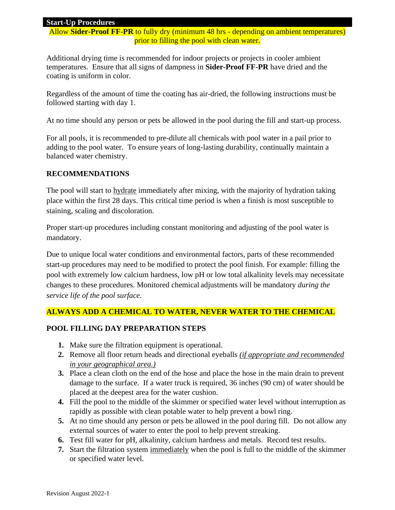## **Start-Up Procedures**

Allow **Sider-Proof FF-PR** to fully dry (minimum 48 hrs - depending on ambient temperatures) prior to filling the pool with clean water.

Additional drying time is recommended for indoor projects or projects in cooler ambient temperatures. Ensure that all signs of dampness in **Sider-Proof FF-PR** have dried and the coating is uniform in color.

Regardless of the amount of time the coating has air-dried, the following instructions must be followed starting with day 1.

At no time should any person or pets be allowed in the pool during the fill and start-up process.

For all pools, it is recommended to pre-dilute all chemicals with pool water in a pail prior to adding to the pool water. To ensure years of long-lasting durability, continually maintain a balanced water chemistry.

## **RECOMMENDATIONS**

The pool will start to **hydrate** immediately after mixing, with the majority of hydration taking place within the first 28 days. This critical time period is when a finish is most susceptible to staining, scaling and discoloration.

Proper start-up procedures including constant monitoring and adjusting of the pool water is mandatory.

Due to unique local water conditions and environmental factors, parts of these recommended start-up procedures may need to be modified to protect the pool finish. For example: filling the pool with extremely low calcium hardness, low pH or low total alkalinity levels may necessitate changes to these procedures. Monitored chemical adjustments will be mandatory *during the service life of the pool surface.* 

## **ALWAYS ADD A CHEMICAL TO WATER, NEVER WATER TO THE CHEMICAL**

## **POOL FILLING DAY PREPARATION STEPS**

- **1.** Make sure the filtration equipment is operational.
- **2.** Remove all floor return heads and directional eyeballs *(if appropriate and recommended in your geographical area.)*
- **3.** Place a clean cloth on the end of the hose and place the hose in the main drain to prevent damage to the surface. If a water truck is required, 36 inches (90 cm) of water should be placed at the deepest area for the water cushion.
- **4.** Fill the pool to the middle of the skimmer or specified water level without interruption as rapidly as possible with clean potable water to help prevent a bowl ring.
- **5.** At no time should any person or pets be allowed in the pool during fill. Do not allow any external sources of water to enter the pool to help prevent streaking.
- **6.** Test fill water for pH, alkalinity, calcium hardness and metals. Record test results.
- **7.** Start the filtration system immediately when the pool is full to the middle of the skimmer or specified water level.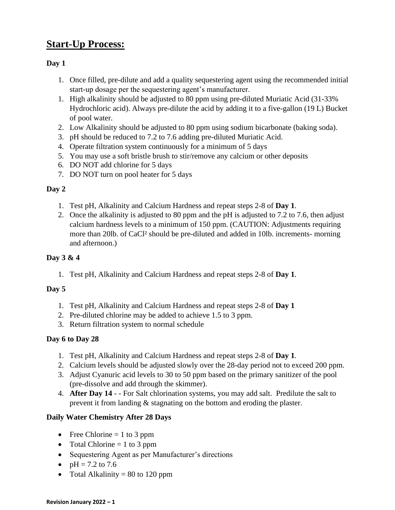## **Start-Up Process:**

## **Day 1**

- 1. Once filled, pre-dilute and add a quality sequestering agent using the recommended initial start-up dosage per the sequestering agent's manufacturer.
- 1. High alkalinity should be adjusted to 80 ppm using pre-diluted Muriatic Acid (31-33% Hydrochloric acid). Always pre-dilute the acid by adding it to a five-gallon (19 L) Bucket of pool water.
- 2. Low Alkalinity should be adjusted to 80 ppm using sodium bicarbonate (baking soda).
- 3. pH should be reduced to 7.2 to 7.6 adding pre-diluted Muriatic Acid.
- 4. Operate filtration system continuously for a minimum of 5 days
- 5. You may use a soft bristle brush to stir/remove any calcium or other deposits
- 6. DO NOT add chlorine for 5 days
- 7. DO NOT turn on pool heater for 5 days

## **Day 2**

- 1. Test pH, Alkalinity and Calcium Hardness and repeat steps 2-8 of **Day 1**.
- 2. Once the alkalinity is adjusted to 80 ppm and the pH is adjusted to 7.2 to 7.6, then adjust calcium hardness levels to a minimum of 150 ppm. (CAUTION: Adjustments requiring more than 20lb. of CaCl² should be pre-diluted and added in 10lb. increments- morning and afternoon.)

## **Day 3 & 4**

1. Test pH, Alkalinity and Calcium Hardness and repeat steps 2-8 of **Day 1**.

## **Day 5**

- 1. Test pH, Alkalinity and Calcium Hardness and repeat steps 2-8 of **Day 1**
- 2. Pre-diluted chlorine may be added to achieve 1.5 to 3 ppm.
- 3. Return filtration system to normal schedule

## **Day 6 to Day 28**

- 1. Test pH, Alkalinity and Calcium Hardness and repeat steps 2-8 of **Day 1**.
- 2. Calcium levels should be adjusted slowly over the 28-day period not to exceed 200 ppm.
- 3. Adjust Cyanuric acid levels to 30 to 50 ppm based on the primary sanitizer of the pool (pre-dissolve and add through the skimmer).
- 4. **After Day 14** - For Salt chlorination systems, you may add salt.Predilute the salt to prevent it from landing & stagnating on the bottom and eroding the plaster.

## **Daily Water Chemistry After 28 Days**

- Free Chlorine  $= 1$  to 3 ppm
- Total Chlorine  $= 1$  to 3 ppm
- Sequestering Agent as per Manufacturer's directions
- $pH = 7.2$  to 7.6
- Total Alkalinity  $= 80$  to 120 ppm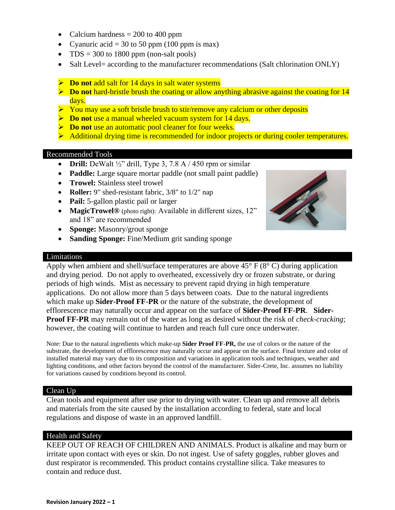- Calcium hardness  $= 200$  to 400 ppm
- Cyanuric acid = 30 to 50 ppm (100 ppm is max)
- TDS = 300 to 1800 ppm (non-salt pools)
- Salt Level= according to the manufacturer recommendations (Salt chlorination ONLY)
- ➢ **Do not** add salt for 14 days in salt water systems
- ➢ **Do not** hard-bristle brush the coating or allow anything abrasive against the coating for 14 days.
- $\triangleright$  You may use a soft bristle brush to stir/remove any calcium or other deposits
- ➢ **Do not** use a manual wheeled vacuum system for 14 days.
- ➢ **Do not** use an automatic pool cleaner for four weeks.
- ➢ Additional drying time is recommended for indoor projects or during cooler temperatures.

#### Recommended Tools

- **Drill:** DeWalt  $\frac{1}{2}$ " drill, Type 3, 7.8 A  $/$  450 rpm or similar
- **Paddle:** Large square mortar paddle (not small paint paddle)
- **Trowel:** Stainless steel trowel
- **Roller:** 9" shed-resistant fabric, 3/8" to 1/2" nap
- **Pail:** 5-gallon plastic pail or larger
- **MagicTrowel®** (photo right): Available in different sizes, 12" and 18" are recommended
- **Sponge:** Masonry/grout sponge
- **Sanding Sponge:** Fine/Medium grit sanding sponge

#### Limitations

Apply when ambient and shell/surface temperatures are above  $45^{\circ}$  F ( $8^{\circ}$  C) during application and drying period. Do not apply to overheated, excessively dry or frozen substrate, or during periods of high winds. Mist as necessary to prevent rapid drying in high temperature applications. Do not allow more than 5 days between coats. Due to the natural ingredients which make up **Sider-Proof FF-PR** or the nature of the substrate, the development of efflorescence may naturally occur and appear on the surface of **Sider-Proof FF-PR**. **Sider-Proof FF-PR** may remain out of the water as long as desired without the risk of *check-cracking*; however, the coating will continue to harden and reach full cure once underwater.

Note: Due to the natural ingredients which make-up **Sider Proof FF-PR,** the use of colors or the nature of the substrate, the development of efflorescence may naturally occur and appear on the surface. Final texture and color of installed material may vary due to its composition and variations in application tools and techniques, weather and lighting conditions, and other factors beyond the control of the manufacturer. Sider-Crete, Inc. assumes no liability for variations caused by conditions beyond its control.

#### Clean Up

Clean tools and equipment after use prior to drying with water. Clean up and remove all debris and materials from the site caused by the installation according to federal, state and local regulations and dispose of waste in an approved landfill.

#### Health and Safety

KEEP OUT OF REACH OF CHILDREN AND ANIMALS. Product is alkaline and may burn or irritate upon contact with eyes or skin. Do not ingest. Use of safety goggles, rubber gloves and dust respirator is recommended. This product contains crystalline silica. Take measures to contain and reduce dust.